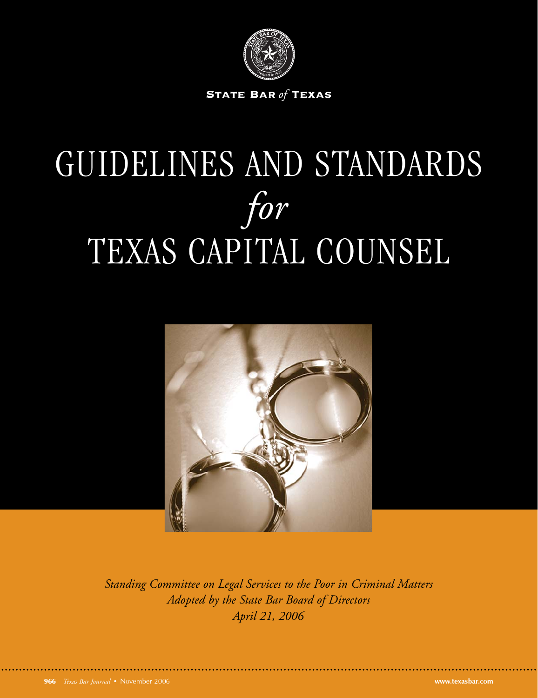

# GUIDELINES AND STANDARDS *for* TEXAS CAPITAL COUNSEL



*Standing Committee on Legal Services to the Poor in Criminal Matters Adopted by the State Bar Board of Directors April 21, 2006*

966 *Texas Bar Journal* • November 2006 **www.texasbar.com**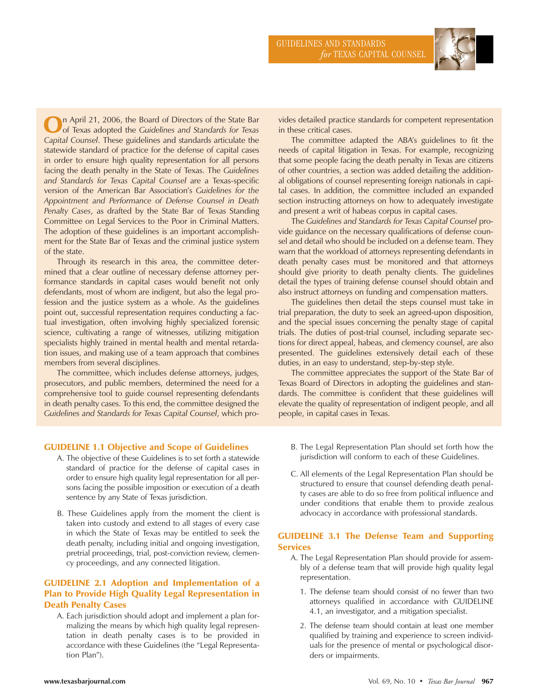

n April 21, 2006, the Board of Directors of the State Bar of Texas adopted the *Guidelines and Standards for Texas* **C**<sup>n</sup> April 21, 2006, the Board of Directors of the State Bar of Texas adopted the Guidelines and Standards for Texas Capital Counsel. These guidelines and standards articulate the statewide standard of practice for the defense of capital cases in order to ensure high quality representation for all persons facing the death penalty in the State of Texas. The *Guidelines and Standards for Texas Capital Counsel* are a Texas-specific version of the American Bar Association's *Guidelines for the Appointment and Performance of Defense Counsel in Death Penalty Cases*, as drafted by the State Bar of Texas Standing Committee on Legal Services to the Poor in Criminal Matters. The adoption of these guidelines is an important accomplishment for the State Bar of Texas and the criminal justice system of the state.

Through its research in this area, the committee determined that a clear outline of necessary defense attorney performance standards in capital cases would benefit not only defendants, most of whom are indigent, but also the legal profession and the justice system as a whole. As the guidelines point out, successful representation requires conducting a factual investigation, often involving highly specialized forensic science, cultivating a range of witnesses, utilizing mitigation specialists highly trained in mental health and mental retardation issues, and making use of a team approach that combines members from several disciplines.

The committee, which includes defense attorneys, judges, prosecutors, and public members, determined the need for a comprehensive tool to guide counsel representing defendants in death penalty cases. To this end, the committee designed the *Guidelines and Standards for Texas Capital Counsel*, which pro-

#### GUIDELINE 1.1 Objective and Scope of Guidelines

- A. The objective of these Guidelines is to set forth a statewide standard of practice for the defense of capital cases in order to ensure high quality legal representation for all persons facing the possible imposition or execution of a death sentence by any State of Texas jurisdiction.
- B. These Guidelines apply from the moment the client is taken into custody and extend to all stages of every case in which the State of Texas may be entitled to seek the death penalty, including initial and ongoing investigation, pretrial proceedings, trial, post-conviction review, clemency proceedings, and any connected litigation.

#### GUIDELINE 2.1 Adoption and Implementation of a Plan to Provide High Quality Legal Representation in Death Penalty Cases

A. Each jurisdiction should adopt and implement a plan formalizing the means by which high quality legal representation in death penalty cases is to be provided in accordance with these Guidelines (the "Legal Representation Plan").

vides detailed practice standards for competent representation in these critical cases.

The committee adapted the ABA's guidelines to fit the needs of capital litigation in Texas. For example, recognizing that some people facing the death penalty in Texas are citizens of other countries, a section was added detailing the additional obligations of counsel representing foreign nationals in capital cases. In addition, the committee included an expanded section instructing attorneys on how to adequately investigate and present a writ of habeas corpus in capital cases.

The *Guidelines and Standards for Texas Capital Counsel* provide guidance on the necessary qualifications of defense counsel and detail who should be included on a defense team. They warn that the workload of attorneys representing defendants in death penalty cases must be monitored and that attorneys should give priority to death penalty clients. The guidelines detail the types of training defense counsel should obtain and also instruct attorneys on funding and compensation matters.

The guidelines then detail the steps counsel must take in trial preparation, the duty to seek an agreed-upon disposition, and the special issues concerning the penalty stage of capital trials. The duties of post-trial counsel, including separate sections for direct appeal, habeas, and clemency counsel, are also presented. The guidelines extensively detail each of these duties, in an easy to understand, step-by-step style.

The committee appreciates the support of the State Bar of Texas Board of Directors in adopting the guidelines and standards. The committee is confident that these guidelines will elevate the quality of representation of indigent people, and all people, in capital cases in Texas.

- B. The Legal Representation Plan should set forth how the jurisdiction will conform to each of these Guidelines.
- C. All elements of the Legal Representation Plan should be structured to ensure that counsel defending death penalty cases are able to do so free from political influence and under conditions that enable them to provide zealous advocacy in accordance with professional standards.

#### GUIDELINE 3.1 The Defense Team and Supporting Services

- A. The Legal Representation Plan should provide for assembly of a defense team that will provide high quality legal representation.
	- 1. The defense team should consist of no fewer than two attorneys qualified in accordance with GUIDELINE 4.1, an investigator, and a mitigation specialist.
	- 2. The defense team should contain at least one member qualified by training and experience to screen individuals for the presence of mental or psychological disorders or impairments.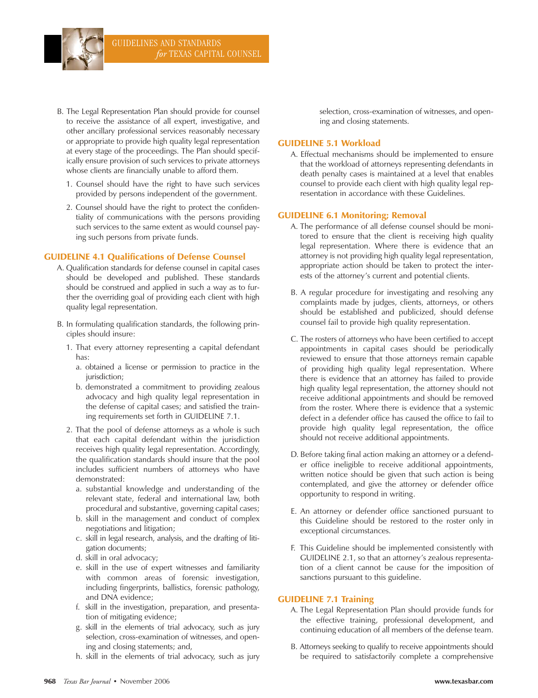

- B. The Legal Representation Plan should provide for counsel to receive the assistance of all expert, investigative, and other ancillary professional services reasonably necessary or appropriate to provide high quality legal representation at every stage of the proceedings. The Plan should specifically ensure provision of such services to private attorneys whose clients are financially unable to afford them.
	- 1. Counsel should have the right to have such services provided by persons independent of the government.
	- 2. Counsel should have the right to protect the confidentiality of communications with the persons providing such services to the same extent as would counsel paying such persons from private funds.

#### GUIDELINE 4.1 Qualifications of Defense Counsel

- A. Qualification standards for defense counsel in capital cases should be developed and published. These standards should be construed and applied in such a way as to further the overriding goal of providing each client with high quality legal representation.
- B. In formulating qualification standards, the following principles should insure:
	- 1. That every attorney representing a capital defendant has:
		- a. obtained a license or permission to practice in the jurisdiction:
		- b. demonstrated a commitment to providing zealous advocacy and high quality legal representation in the defense of capital cases; and satisfied the training requirements set forth in GUIDELINE 7.1.
	- 2. That the pool of defense attorneys as a whole is such that each capital defendant within the jurisdiction receives high quality legal representation. Accordingly, the qualification standards should insure that the pool includes sufficient numbers of attorneys who have demonstrated:
		- a. substantial knowledge and understanding of the relevant state, federal and international law, both procedural and substantive, governing capital cases;
		- b. skill in the management and conduct of complex negotiations and litigation;
		- c. skill in legal research, analysis, and the drafting of litigation documents;
		- d. skill in oral advocacy;
		- e. skill in the use of expert witnesses and familiarity with common areas of forensic investigation, including fingerprints, ballistics, forensic pathology, and DNA evidence;
		- f. skill in the investigation, preparation, and presentation of mitigating evidence;
		- g. skill in the elements of trial advocacy, such as jury selection, cross-examination of witnesses, and opening and closing statements; and,
		- h. skill in the elements of trial advocacy, such as jury

selection, cross-examination of witnesses, and opening and closing statements.

#### GUIDELINE 5.1 Workload

A. Effectual mechanisms should be implemented to ensure that the workload of attorneys representing defendants in death penalty cases is maintained at a level that enables counsel to provide each client with high quality legal representation in accordance with these Guidelines.

#### GUIDELINE 6.1 Monitoring; Removal

- A. The performance of all defense counsel should be monitored to ensure that the client is receiving high quality legal representation. Where there is evidence that an attorney is not providing high quality legal representation, appropriate action should be taken to protect the interests of the attorney's current and potential clients.
- B. A regular procedure for investigating and resolving any complaints made by judges, clients, attorneys, or others should be established and publicized, should defense counsel fail to provide high quality representation.
- C. The rosters of attorneys who have been certified to accept appointments in capital cases should be periodically reviewed to ensure that those attorneys remain capable of providing high quality legal representation. Where there is evidence that an attorney has failed to provide high quality legal representation, the attorney should not receive additional appointments and should be removed from the roster. Where there is evidence that a systemic defect in a defender office has caused the office to fail to provide high quality legal representation, the office should not receive additional appointments.
- D. Before taking final action making an attorney or a defender office ineligible to receive additional appointments, written notice should be given that such action is being contemplated, and give the attorney or defender office opportunity to respond in writing.
- E. An attorney or defender office sanctioned pursuant to this Guideline should be restored to the roster only in exceptional circumstances.
- F. This Guideline should be implemented consistently with GUIDELINE 2.1, so that an attorney's zealous representation of a client cannot be cause for the imposition of sanctions pursuant to this guideline.

#### GUIDELINE 7.1 Training

- A. The Legal Representation Plan should provide funds for the effective training, professional development, and continuing education of all members of the defense team.
- B. Attorneys seeking to qualify to receive appointments should be required to satisfactorily complete a comprehensive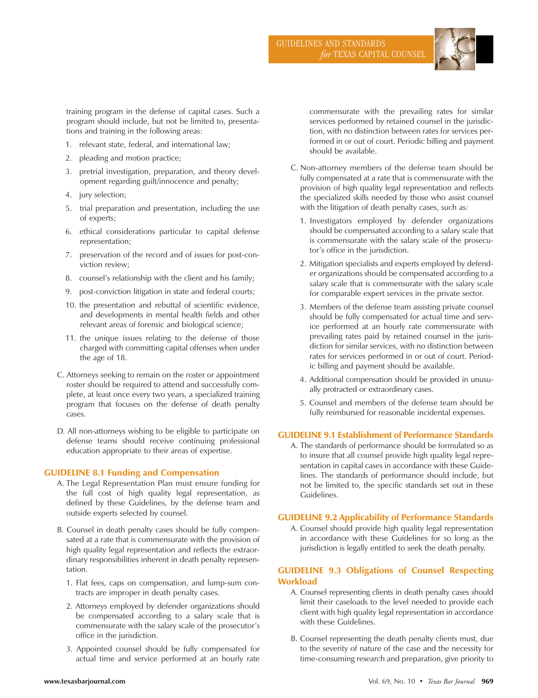

training program in the defense of capital cases. Such a program should include, but not be limited to, presentations and training in the following areas:

- 1. relevant state, federal, and international law;
- 2. pleading and motion practice;
- 3. pretrial investigation, preparation, and theory development regarding guilt/innocence and penalty;
- 4. jury selection;
- 5. trial preparation and presentation, including the use of experts;
- 6. ethical considerations particular to capital defense representation;
- 7. preservation of the record and of issues for post-conviction review;
- 8. counsel's relationship with the client and his family;
- 9. post-conviction litigation in state and federal courts;
- 10. the presentation and rebuttal of scientific evidence, and developments in mental health fields and other relevant areas of forensic and biological science;
- 11. the unique issues relating to the defense of those charged with committing capital offenses when under the age of 18.
- C. Attorneys seeking to remain on the roster or appointment roster should be required to attend and successfully complete, at least once every two years, a specialized training program that focuses on the defense of death penalty cases.
- D. All non-attorneys wishing to be eligible to participate on defense teams should receive continuing professional education appropriate to their areas of expertise.

#### GUIDELINE 8.1 Funding and Compensation

- A. The Legal Representation Plan must ensure funding for the full cost of high quality legal representation, as defined by these Guidelines, by the defense team and outside experts selected by counsel.
- B. Counsel in death penalty cases should be fully compensated at a rate that is commensurate with the provision of high quality legal representation and reflects the extraordinary responsibilities inherent in death penalty representation.
	- 1. Flat fees, caps on compensation, and lump-sum contracts are improper in death penalty cases.
	- 2. Attorneys employed by defender organizations should be compensated according to a salary scale that is commensurate with the salary scale of the prosecutor's office in the jurisdiction.
	- 3. Appointed counsel should be fully compensated for actual time and service performed at an hourly rate

commensurate with the prevailing rates for similar services performed by retained counsel in the jurisdiction, with no distinction between rates for services performed in or out of court. Periodic billing and payment should be available.

- C. Non-attorney members of the defense team should be fully compensated at a rate that is commensurate with the provision of high quality legal representation and reflects the specialized skills needed by those who assist counsel with the litigation of death penalty cases, such as:
	- 1. Investigators employed by defender organizations should be compensated according to a salary scale that is commensurate with the salary scale of the prosecutor's office in the jurisdiction.
	- 2. Mitigation specialists and experts employed by defender organizations should be compensated according to a salary scale that is commensurate with the salary scale for comparable expert services in the private sector.
	- 3. Members of the defense team assisting private counsel should be fully compensated for actual time and service performed at an hourly rate commensurate with prevailing rates paid by retained counsel in the jurisdiction for similar services, with no distinction between rates for services performed in or out of court. Periodic billing and payment should be available.
	- 4. Additional compensation should be provided in unusually protracted or extraordinary cases.
	- 5. Counsel and members of the defense team should be fully reimbursed for reasonable incidental expenses.

#### GUIDELINE 9.1 Establishment of Performance Standards

A. The standards of performance should be formulated so as to insure that all counsel provide high quality legal representation in capital cases in accordance with these Guidelines. The standards of performance should include, but not be limited to, the specific standards set out in these Guidelines.

#### GUIDELINE 9.2 Applicability of Performance Standards

A. Counsel should provide high quality legal representation in accordance with these Guidelines for so long as the jurisdiction is legally entitled to seek the death penalty.

#### GUIDELINE 9.3 Obligations of Counsel Respecting **Workload**

- A. Counsel representing clients in death penalty cases should limit their caseloads to the level needed to provide each client with high quality legal representation in accordance with these Guidelines.
- B. Counsel representing the death penalty clients must, due to the severity of nature of the case and the necessity for time-consuming research and preparation, give priority to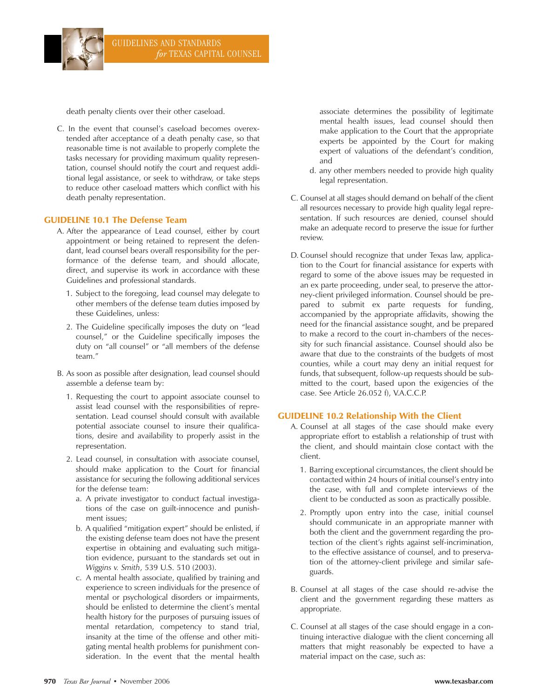

death penalty clients over their other caseload.

C. In the event that counsel's caseload becomes overextended after acceptance of a death penalty case, so that reasonable time is not available to properly complete the tasks necessary for providing maximum quality representation, counsel should notify the court and request additional legal assistance, or seek to withdraw, or take steps to reduce other caseload matters which conflict with his death penalty representation.

#### GUIDELINE 10.1 The Defense Team

- A. After the appearance of Lead counsel, either by court appointment or being retained to represent the defendant, lead counsel bears overall responsibility for the performance of the defense team, and should allocate, direct, and supervise its work in accordance with these Guidelines and professional standards.
	- 1. Subject to the foregoing, lead counsel may delegate to other members of the defense team duties imposed by these Guidelines, unless:
	- 2. The Guideline specifically imposes the duty on "lead counsel," or the Guideline specifically imposes the duty on "all counsel" or "all members of the defense team."
- B. As soon as possible after designation, lead counsel should assemble a defense team by:
	- 1. Requesting the court to appoint associate counsel to assist lead counsel with the responsibilities of representation. Lead counsel should consult with available potential associate counsel to insure their qualifications, desire and availability to properly assist in the representation.
	- 2. Lead counsel, in consultation with associate counsel, should make application to the Court for financial assistance for securing the following additional services for the defense team:
		- a. A private investigator to conduct factual investigations of the case on guilt-innocence and punishment issues;
		- b. A qualified "mitigation expert" should be enlisted, if the existing defense team does not have the present expertise in obtaining and evaluating such mitigation evidence, pursuant to the standards set out in *Wiggins v. Smith*, 539 U.S. 510 (2003).
		- c. A mental health associate, qualified by training and experience to screen individuals for the presence of mental or psychological disorders or impairments, should be enlisted to determine the client's mental health history for the purposes of pursuing issues of mental retardation, competency to stand trial, insanity at the time of the offense and other mitigating mental health problems for punishment consideration. In the event that the mental health

associate determines the possibility of legitimate mental health issues, lead counsel should then make application to the Court that the appropriate experts be appointed by the Court for making expert of valuations of the defendant's condition, and

- d. any other members needed to provide high quality legal representation.
- C. Counsel at all stages should demand on behalf of the client all resources necessary to provide high quality legal representation. If such resources are denied, counsel should make an adequate record to preserve the issue for further review.
- D. Counsel should recognize that under Texas law, application to the Court for financial assistance for experts with regard to some of the above issues may be requested in an ex parte proceeding, under seal, to preserve the attorney-client privileged information. Counsel should be prepared to submit ex parte requests for funding, accompanied by the appropriate affidavits, showing the need for the financial assistance sought, and be prepared to make a record to the court in-chambers of the necessity for such financial assistance. Counsel should also be aware that due to the constraints of the budgets of most counties, while a court may deny an initial request for funds, that subsequent, follow-up requests should be submitted to the court, based upon the exigencies of the case. See Article 26.052 f), V.A.C.C.P.

#### GUIDELINE 10.2 Relationship With the Client

- A. Counsel at all stages of the case should make every appropriate effort to establish a relationship of trust with the client, and should maintain close contact with the client.
	- 1. Barring exceptional circumstances, the client should be contacted within 24 hours of initial counsel's entry into the case, with full and complete interviews of the client to be conducted as soon as practically possible.
	- 2. Promptly upon entry into the case, initial counsel should communicate in an appropriate manner with both the client and the government regarding the protection of the client's rights against self-incrimination, to the effective assistance of counsel, and to preservation of the attorney-client privilege and similar safeguards.
- B. Counsel at all stages of the case should re-advise the client and the government regarding these matters as appropriate.
- C. Counsel at all stages of the case should engage in a continuing interactive dialogue with the client concerning all matters that might reasonably be expected to have a material impact on the case, such as: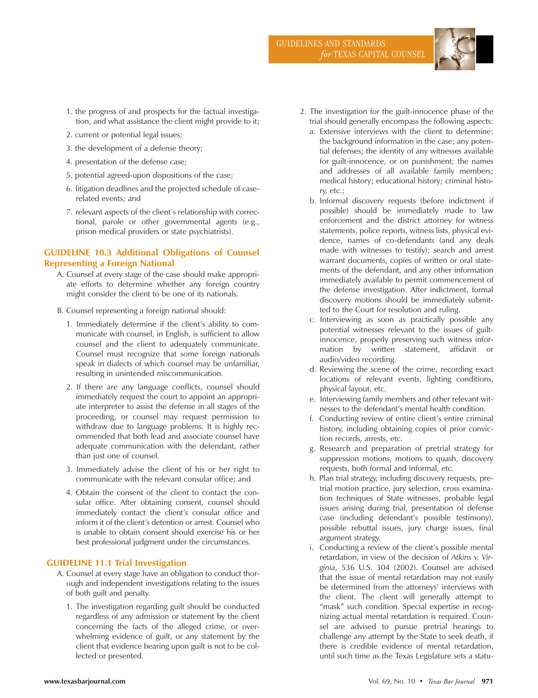### GUIDELINES AND STANDARDS *for* TEXAS CAPITAL COUNSEL



- 1. the progress of and prospects for the factual investigation, and what assistance the client might provide to it;
- 2. current or potential legal issues;
- 3. the development of a defense theory;
- 4. presentation of the defense case;
- 5. potential agreed-upon dispositions of the case;
- 6. litigation deadlines and the projected schedule of caserelated events; and
- 7. relevant aspects of the client's relationship with correctional, parole or other governmental agents (e.g., prison medical providers or state psychiatrists).

#### GUIDELINE 10.3 Additional Obligations of Counsel Representing a Foreign National

- A. Counsel at every stage of the case should make appropriate efforts to determine whether any foreign country might consider the client to be one of its nationals.
- B. Counsel representing a foreign national should:
	- 1. Immediately determine if the client's ability to communicate with counsel, in English, is sufficient to allow counsel and the client to adequately communicate. Counsel must recognize that some foreign nationals speak in dialects of which counsel may be unfamiliar, resulting in unintended miscommunication.
	- 2. If there are any language conflicts, counsel should immediately request the court to appoint an appropriate interpreter to assist the defense in all stages of the proceeding, or counsel may request permission to withdraw due to language problems. It is highly recommended that both lead and associate counsel have adequate communication with the defendant, rather than just one of counsel.
	- 3. Immediately advise the client of his or her right to communicate with the relevant consular office; and
	- 4. Obtain the consent of the client to contact the consular office. After obtaining consent, counsel should immediately contact the client's consular office and inform it of the client's detention or arrest. Counsel who is unable to obtain consent should exercise his or her best professional judgment under the circumstances.

#### GUIDELINE 11.1 Trial Investigation

- A. Counsel at every stage have an obligation to conduct thorough and independent investigations relating to the issues of both guilt and penalty.
	- 1. The investigation regarding guilt should be conducted regardless of any admission or statement by the client concerning the facts of the alleged crime, or overwhelming evidence of guilt, or any statement by the client that evidence bearing upon guilt is not to be collected or presented.
- 2. The investigation for the guilt-innocence phase of the trial should generally encompass the following aspects:
	- a. Extensive interviews with the client to determine: the background information in the case; any potential defenses; the identity of any witnesses available for guilt-innocence, or on punishment; the names and addresses of all available family members; medical history; educational history; criminal history, etc.;
	- b. Informal discovery requests (before indictment if possible) should be immediately made to law enforcement and the district attorney for witness statements, police reports, witness lists, physical evidence, names of co-defendants (and any deals made with witnesses to testify); search and arrest warrant documents, copies of written or oral statements of the defendant, and any other information immediately available to permit commencement of the defense investigation. After indictment, formal discovery motions should be immediately submitted to the Court for resolution and ruling.
	- c. Interviewing as soon as practically possible any potential witnesses relevant to the issues of guiltinnocence, properly preserving such witness information by written statement, affidavit or audio/video recording.
	- d. Reviewing the scene of the crime, recording exact locations of relevant events, lighting conditions, physical layout, etc.
	- e. Interviewing family members and other relevant witnesses to the defendant's mental health condition.
	- f. Conducting review of entire client's entire criminal history, including obtaining copies of prior conviction records, arrests, etc.
	- g. Research and preparation of pretrial strategy for suppression motions, motions to quash, discovery requests, both formal and informal, etc.
	- h. Plan trial strategy, including discovery requests, pretrial motion practice, jury selection, cross examination techniques of State witnesses, probable legal issues arising during trial, presentation of defense case (including defendant's possible testimony), possible rebuttal issues, jury charge issues, final argument strategy.
	- i. Conducting a review of the client's possible mental retardation, in view of the decision of *Atkins v. Virginia*, 536 U.S. 304 (2002). Counsel are advised that the issue of mental retardation may not easily be determined from the attorneys' interviews with the client. The client will generally attempt to "mask" such condition. Special expertise in recognizing actual mental retardation is required. Counsel are advised to pursue pretrial hearings to challenge any attempt by the State to seek death, if there is credible evidence of mental retardation, until such time as the Texas Legislature sets a statu-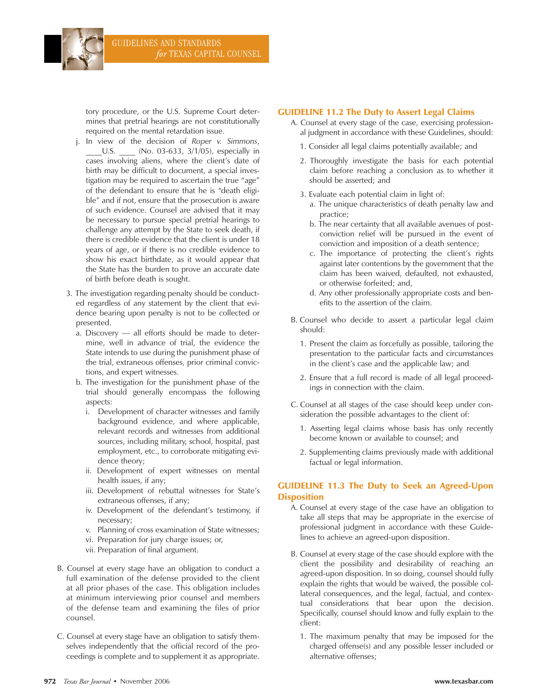

tory procedure, or the U.S. Supreme Court determines that pretrial hearings are not constitutionally required on the mental retardation issue.

- j. In view of the decision of *Roper v. Simmons*, U.S. (No. 03-633, 3/1/05), especially in cases involving aliens, where the client's date of birth may be difficult to document, a special investigation may be required to ascertain the true "age" of the defendant to ensure that he is "death eligible" and if not, ensure that the prosecution is aware of such evidence. Counsel are advised that it may be necessary to pursue special pretrial hearings to challenge any attempt by the State to seek death, if there is credible evidence that the client is under 18 years of age, or if there is no credible evidence to show his exact birthdate, as it would appear that the State has the burden to prove an accurate date of birth before death is sought.
- 3. The investigation regarding penalty should be conducted regardless of any statement by the client that evidence bearing upon penalty is not to be collected or presented.
	- a. Discovery all efforts should be made to determine, well in advance of trial, the evidence the State intends to use during the punishment phase of the trial, extraneous offenses, prior criminal convictions, and expert witnesses.
	- b. The investigation for the punishment phase of the trial should generally encompass the following aspects:
		- i. Development of character witnesses and family background evidence, and where applicable, relevant records and witnesses from additional sources, including military, school, hospital, past employment, etc., to corroborate mitigating evidence theory;
		- ii. Development of expert witnesses on mental health issues, if any;
		- iii. Development of rebuttal witnesses for State's extraneous offenses, if any;
		- iv. Development of the defendant's testimony, if necessary;
		- v. Planning of cross examination of State witnesses;
		- vi. Preparation for jury charge issues; or,
		- vii. Preparation of final argument.
- B. Counsel at every stage have an obligation to conduct a full examination of the defense provided to the client at all prior phases of the case. This obligation includes at minimum interviewing prior counsel and members of the defense team and examining the files of prior counsel.
- C. Counsel at every stage have an obligation to satisfy themselves independently that the official record of the proceedings is complete and to supplement it as appropriate.

#### GUIDELINE 11.2 The Duty to Assert Legal Claims

- A. Counsel at every stage of the case, exercising professional judgment in accordance with these Guidelines, should:
	- 1. Consider all legal claims potentially available; and
	- 2. Thoroughly investigate the basis for each potential claim before reaching a conclusion as to whether it should be asserted; and
	- 3. Evaluate each potential claim in light of:
		- a. The unique characteristics of death penalty law and practice;
		- b. The near certainty that all available avenues of postconviction relief will be pursued in the event of conviction and imposition of a death sentence;
		- c. The importance of protecting the client's rights against later contentions by the government that the claim has been waived, defaulted, not exhausted, or otherwise forfeited; and,
		- d. Any other professionally appropriate costs and benefits to the assertion of the claim.
- B. Counsel who decide to assert a particular legal claim should:
	- 1. Present the claim as forcefully as possible, tailoring the presentation to the particular facts and circumstances in the client's case and the applicable law; and
	- 2. Ensure that a full record is made of all legal proceedings in connection with the claim.
- C. Counsel at all stages of the case should keep under consideration the possible advantages to the client of:
	- 1. Asserting legal claims whose basis has only recently become known or available to counsel; and
	- 2. Supplementing claims previously made with additional factual or legal information.

#### GUIDELINE 11.3 The Duty to Seek an Agreed-Upon **Disposition**

- A. Counsel at every stage of the case have an obligation to take all steps that may be appropriate in the exercise of professional judgment in accordance with these Guidelines to achieve an agreed-upon disposition.
- B. Counsel at every stage of the case should explore with the client the possibility and desirability of reaching an agreed-upon disposition. In so doing, counsel should fully explain the rights that would be waived, the possible collateral consequences, and the legal, factual, and contextual considerations that bear upon the decision. Specifically, counsel should know and fully explain to the client:
	- 1. The maximum penalty that may be imposed for the charged offense(s) and any possible lesser included or alternative offenses;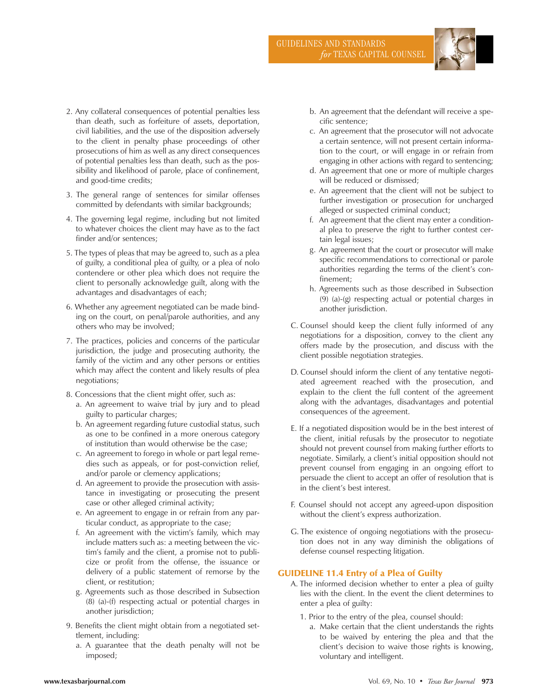#### GUIDELINES AND STANDARDS *for* TEXAS CAPITAL COUNSEL



- 2. Any collateral consequences of potential penalties less than death, such as forfeiture of assets, deportation, civil liabilities, and the use of the disposition adversely to the client in penalty phase proceedings of other prosecutions of him as well as any direct consequences of potential penalties less than death, such as the possibility and likelihood of parole, place of confinement, and good-time credits;
- 3. The general range of sentences for similar offenses committed by defendants with similar backgrounds;
- 4. The governing legal regime, including but not limited to whatever choices the client may have as to the fact finder and/or sentences;
- 5. The types of pleas that may be agreed to, such as a plea of guilty, a conditional plea of guilty, or a plea of nolo contendere or other plea which does not require the client to personally acknowledge guilt, along with the advantages and disadvantages of each;
- 6. Whether any agreement negotiated can be made binding on the court, on penal/parole authorities, and any others who may be involved;
- 7. The practices, policies and concerns of the particular jurisdiction, the judge and prosecuting authority, the family of the victim and any other persons or entities which may affect the content and likely results of plea negotiations;
- 8. Concessions that the client might offer, such as:
	- a. An agreement to waive trial by jury and to plead guilty to particular charges;
	- b. An agreement regarding future custodial status, such as one to be confined in a more onerous category of institution than would otherwise be the case;
	- c. An agreement to forego in whole or part legal remedies such as appeals, or for post-conviction relief, and/or parole or clemency applications;
	- d. An agreement to provide the prosecution with assistance in investigating or prosecuting the present case or other alleged criminal activity;
	- e. An agreement to engage in or refrain from any particular conduct, as appropriate to the case;
	- f. An agreement with the victim's family, which may include matters such as: a meeting between the victim's family and the client, a promise not to publicize or profit from the offense, the issuance or delivery of a public statement of remorse by the client, or restitution;
	- g. Agreements such as those described in Subsection (8) (a)-(f) respecting actual or potential charges in another jurisdiction;
- 9. Benefits the client might obtain from a negotiated settlement, including:
	- a. A guarantee that the death penalty will not be imposed;
- b. An agreement that the defendant will receive a specific sentence;
- c. An agreement that the prosecutor will not advocate a certain sentence, will not present certain information to the court, or will engage in or refrain from engaging in other actions with regard to sentencing;
- d. An agreement that one or more of multiple charges will be reduced or dismissed;
- e. An agreement that the client will not be subject to further investigation or prosecution for uncharged alleged or suspected criminal conduct;
- f. An agreement that the client may enter a conditional plea to preserve the right to further contest certain legal issues;
- g. An agreement that the court or prosecutor will make specific recommendations to correctional or parole authorities regarding the terms of the client's confinement;
- h. Agreements such as those described in Subsection (9) (a)-(g) respecting actual or potential charges in another jurisdiction.
- C. Counsel should keep the client fully informed of any negotiations for a disposition, convey to the client any offers made by the prosecution, and discuss with the client possible negotiation strategies.
- D. Counsel should inform the client of any tentative negotiated agreement reached with the prosecution, and explain to the client the full content of the agreement along with the advantages, disadvantages and potential consequences of the agreement.
- E. If a negotiated disposition would be in the best interest of the client, initial refusals by the prosecutor to negotiate should not prevent counsel from making further efforts to negotiate. Similarly, a client's initial opposition should not prevent counsel from engaging in an ongoing effort to persuade the client to accept an offer of resolution that is in the client's best interest.
- F. Counsel should not accept any agreed-upon disposition without the client's express authorization.
- G. The existence of ongoing negotiations with the prosecution does not in any way diminish the obligations of defense counsel respecting litigation.

#### GUIDELINE 11.4 Entry of a Plea of Guilty

- A. The informed decision whether to enter a plea of guilty lies with the client. In the event the client determines to enter a plea of guilty:
	- 1. Prior to the entry of the plea, counsel should:
		- a. Make certain that the client understands the rights to be waived by entering the plea and that the client's decision to waive those rights is knowing, voluntary and intelligent.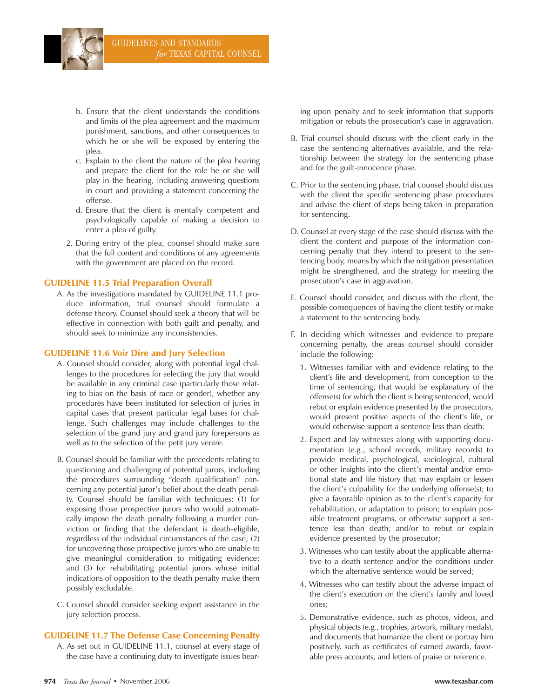

- b. Ensure that the client understands the conditions and limits of the plea agreement and the maximum punishment, sanctions, and other consequences to which he or she will be exposed by entering the plea.
- c. Explain to the client the nature of the plea hearing and prepare the client for the role he or she will play in the hearing, including answering questions in court and providing a statement concerning the offense.
- d. Ensure that the client is mentally competent and psychologically capable of making a decision to enter a plea of guilty.
- 2. During entry of the plea, counsel should make sure that the full content and conditions of any agreements with the government are placed on the record.

#### GUIDELINE 11.5 Trial Preparation Overall

A. As the investigations mandated by GUIDELINE 11.1 produce information, trial counsel should formulate a defense theory. Counsel should seek a theory that will be effective in connection with both guilt and penalty, and should seek to minimize any inconsistencies.

#### GUIDELINE 11.6 Voir Dire and Jury Selection

- A. Counsel should consider, along with potential legal challenges to the procedures for selecting the jury that would be available in any criminal case (particularly those relating to bias on the basis of race or gender), whether any procedures have been instituted for selection of juries in capital cases that present particular legal bases for challenge. Such challenges may include challenges to the selection of the grand jury and grand jury forepersons as well as to the selection of the petit jury venire.
- B. Counsel should be familiar with the precedents relating to questioning and challenging of potential jurors, including the procedures surrounding "death qualification" concerning any potential juror's belief about the death penalty. Counsel should be familiar with techniques: (1) for exposing those prospective jurors who would automatically impose the death penalty following a murder conviction or finding that the defendant is death-eligible, regardless of the individual circumstances of the case; (2) for uncovering those prospective jurors who are unable to give meaningful consideration to mitigating evidence; and (3) for rehabilitating potential jurors whose initial indications of opposition to the death penalty make them possibly excludable.
- C. Counsel should consider seeking expert assistance in the jury selection process.

#### GUIDELINE 11.7 The Defense Case Concerning Penalty

A. As set out in GUIDELINE 11.1, counsel at every stage of the case have a continuing duty to investigate issues bearing upon penalty and to seek information that supports mitigation or rebuts the prosecution's case in aggravation.

- B. Trial counsel should discuss with the client early in the case the sentencing alternatives available, and the relationship between the strategy for the sentencing phase and for the guilt-innocence phase.
- C. Prior to the sentencing phase, trial counsel should discuss with the client the specific sentencing phase procedures and advise the client of steps being taken in preparation for sentencing.
- D. Counsel at every stage of the case should discuss with the client the content and purpose of the information concerning penalty that they intend to present to the sentencing body, means by which the mitigation presentation might be strengthened, and the strategy for meeting the prosecution's case in aggravation.
- E. Counsel should consider, and discuss with the client, the possible consequences of having the client testify or make a statement to the sentencing body.
- F. In deciding which witnesses and evidence to prepare concerning penalty, the areas counsel should consider include the following:
	- 1. Witnesses familiar with and evidence relating to the client's life and development, from conception to the time of sentencing, that would be explanatory of the offense(s) for which the client is being sentenced, would rebut or explain evidence presented by the prosecutors, would present positive aspects of the client's life, or would otherwise support a sentence less than death:
	- 2. Expert and lay witnesses along with supporting documentation (e.g., school records, military records) to provide medical, psychological, sociological, cultural or other insights into the client's mental and/or emotional state and life history that may explain or lessen the client's culpability for the underlying offense(s); to give a favorable opinion as to the client's capacity for rehabilitation, or adaptation to prison; to explain possible treatment programs, or otherwise support a sentence less than death; and/or to rebut or explain evidence presented by the prosecutor;
	- 3. Witnesses who can testify about the applicable alternative to a death sentence and/or the conditions under which the alternative sentence would be served;
	- 4. Witnesses who can testify about the adverse impact of the client's execution on the client's family and loved ones;
	- 5. Demonstrative evidence, such as photos, videos, and physical objects (e.g., trophies, artwork, military medals), and documents that humanize the client or portray him positively, such as certificates of earned awards, favorable press accounts, and letters of praise or reference.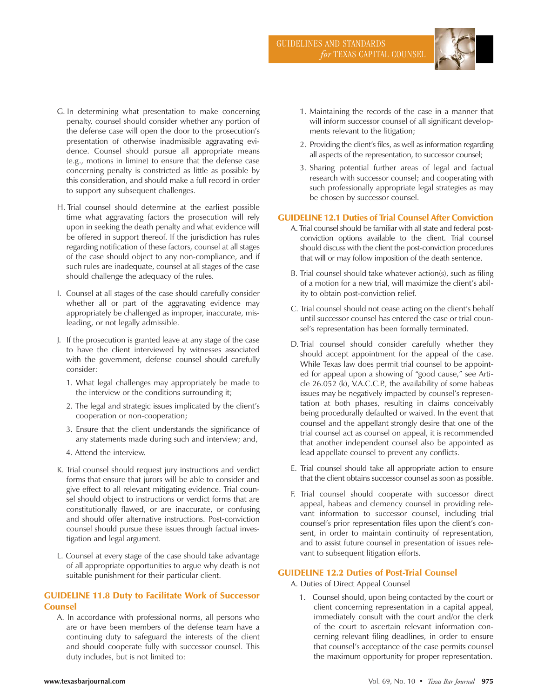#### GUIDELINES AND STANDARDS *for* TEXAS CAPITAL COUNSEL



- G. In determining what presentation to make concerning penalty, counsel should consider whether any portion of the defense case will open the door to the prosecution's presentation of otherwise inadmissible aggravating evidence. Counsel should pursue all appropriate means (e.g., motions in limine) to ensure that the defense case concerning penalty is constricted as little as possible by this consideration, and should make a full record in order to support any subsequent challenges.
- H. Trial counsel should determine at the earliest possible time what aggravating factors the prosecution will rely upon in seeking the death penalty and what evidence will be offered in support thereof. If the jurisdiction has rules regarding notification of these factors, counsel at all stages of the case should object to any non-compliance, and if such rules are inadequate, counsel at all stages of the case should challenge the adequacy of the rules.
- I. Counsel at all stages of the case should carefully consider whether all or part of the aggravating evidence may appropriately be challenged as improper, inaccurate, misleading, or not legally admissible.
- J. If the prosecution is granted leave at any stage of the case to have the client interviewed by witnesses associated with the government, defense counsel should carefully consider:
	- 1. What legal challenges may appropriately be made to the interview or the conditions surrounding it;
	- 2. The legal and strategic issues implicated by the client's cooperation or non-cooperation;
	- 3. Ensure that the client understands the significance of any statements made during such and interview; and,
	- 4. Attend the interview.
- K. Trial counsel should request jury instructions and verdict forms that ensure that jurors will be able to consider and give effect to all relevant mitigating evidence. Trial counsel should object to instructions or verdict forms that are constitutionally flawed, or are inaccurate, or confusing and should offer alternative instructions. Post-conviction counsel should pursue these issues through factual investigation and legal argument.
- L. Counsel at every stage of the case should take advantage of all appropriate opportunities to argue why death is not suitable punishment for their particular client.

#### GUIDELINE 11.8 Duty to Facilitate Work of Successor Counsel

A. In accordance with professional norms, all persons who are or have been members of the defense team have a continuing duty to safeguard the interests of the client and should cooperate fully with successor counsel. This duty includes, but is not limited to:

- 1. Maintaining the records of the case in a manner that will inform successor counsel of all significant developments relevant to the litigation;
- 2. Providing the client's files, as well as information regarding all aspects of the representation, to successor counsel;
- 3. Sharing potential further areas of legal and factual research with successor counsel; and cooperating with such professionally appropriate legal strategies as may be chosen by successor counsel.

#### GUIDELINE 12.1 Duties of Trial Counsel After Conviction

- A. Trial counsel should be familiar with all state and federal postconviction options available to the client. Trial counsel should discuss with the client the post-conviction procedures that will or may follow imposition of the death sentence.
- B. Trial counsel should take whatever action(s), such as filing of a motion for a new trial, will maximize the client's ability to obtain post-conviction relief.
- C. Trial counsel should not cease acting on the client's behalf until successor counsel has entered the case or trial counsel's representation has been formally terminated.
- D. Trial counsel should consider carefully whether they should accept appointment for the appeal of the case. While Texas law does permit trial counsel to be appointed for appeal upon a showing of "good cause," see Article 26.052 (k), V.A.C.C.P., the availability of some habeas issues may be negatively impacted by counsel's representation at both phases, resulting in claims conceivably being procedurally defaulted or waived. In the event that counsel and the appellant strongly desire that one of the trial counsel act as counsel on appeal, it is recommended that another independent counsel also be appointed as lead appellate counsel to prevent any conflicts.
- E. Trial counsel should take all appropriate action to ensure that the client obtains successor counsel as soon as possible.
- F. Trial counsel should cooperate with successor direct appeal, habeas and clemency counsel in providing relevant information to successor counsel, including trial counsel's prior representation files upon the client's consent, in order to maintain continuity of representation, and to assist future counsel in presentation of issues relevant to subsequent litigation efforts.

#### GUIDELINE 12.2 Duties of Post-Trial Counsel

- A. Duties of Direct Appeal Counsel
	- 1. Counsel should, upon being contacted by the court or client concerning representation in a capital appeal, immediately consult with the court and/or the clerk of the court to ascertain relevant information concerning relevant filing deadlines, in order to ensure that counsel's acceptance of the case permits counsel the maximum opportunity for proper representation.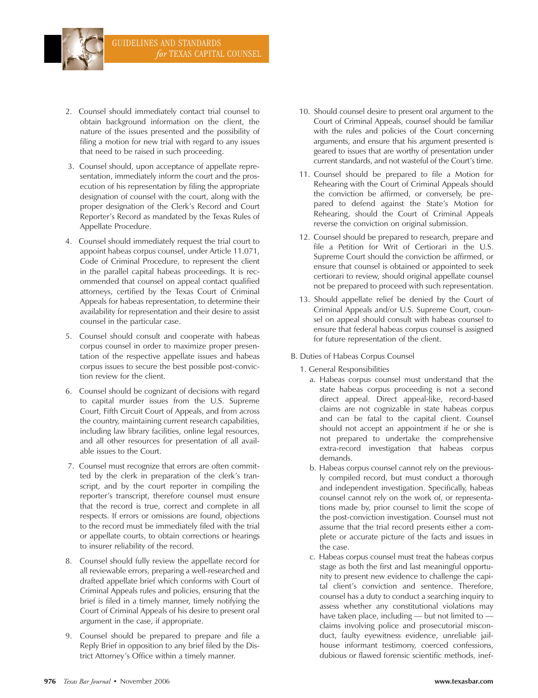

- 2. Counsel should immediately contact trial counsel to obtain background information on the client, the nature of the issues presented and the possibility of filing a motion for new trial with regard to any issues that need to be raised in such proceeding.
- 3. Counsel should, upon acceptance of appellate representation, immediately inform the court and the prosecution of his representation by filing the appropriate designation of counsel with the court, along with the proper designation of the Clerk's Record and Court Reporter's Record as mandated by the Texas Rules of Appellate Procedure.
- 4. Counsel should immediately request the trial court to appoint habeas corpus counsel, under Article 11.071, Code of Criminal Procedure, to represent the client in the parallel capital habeas proceedings. It is recommended that counsel on appeal contact qualified attorneys, certified by the Texas Court of Criminal Appeals for habeas representation, to determine their availability for representation and their desire to assist counsel in the particular case.
- 5. Counsel should consult and cooperate with habeas corpus counsel in order to maximize proper presentation of the respective appellate issues and habeas corpus issues to secure the best possible post-conviction review for the client.
- 6. Counsel should be cognizant of decisions with regard to capital murder issues from the U.S. Supreme Court, Fifth Circuit Court of Appeals, and from across the country, maintaining current research capabilities, including law library facilities, online legal resources, and all other resources for presentation of all available issues to the Court.
- 7. Counsel must recognize that errors are often committed by the clerk in preparation of the clerk's transcript, and by the court reporter in compiling the reporter's transcript, therefore counsel must ensure that the record is true, correct and complete in all respects. If errors or omissions are found, objections to the record must be immediately filed with the trial or appellate courts, to obtain corrections or hearings to insurer reliability of the record.
- 8. Counsel should fully review the appellate record for all reviewable errors, preparing a well-researched and drafted appellate brief which conforms with Court of Criminal Appeals rules and policies, ensuring that the brief is filed in a timely manner, timely notifying the Court of Criminal Appeals of his desire to present oral argument in the case, if appropriate.
- 9. Counsel should be prepared to prepare and file a Reply Brief in opposition to any brief filed by the District Attorney's Office within a timely manner.
- 10. Should counsel desire to present oral argument to the Court of Criminal Appeals, counsel should be familiar with the rules and policies of the Court concerning arguments, and ensure that his argument presented is geared to issues that are worthy of presentation under current standards, and not wasteful of the Court's time.
- 11. Counsel should be prepared to file a Motion for Rehearing with the Court of Criminal Appeals should the conviction be affirmed, or conversely, be prepared to defend against the State's Motion for Rehearing, should the Court of Criminal Appeals reverse the conviction on original submission.
- 12. Counsel should be prepared to research, prepare and file a Petition for Writ of Certiorari in the U.S. Supreme Court should the conviction be affirmed, or ensure that counsel is obtained or appointed to seek certiorari to review, should original appellate counsel not be prepared to proceed with such representation.
- 13. Should appellate relief be denied by the Court of Criminal Appeals and/or U.S. Supreme Court, counsel on appeal should consult with habeas counsel to ensure that federal habeas corpus counsel is assigned for future representation of the client.

#### B. Duties of Habeas Corpus Counsel

- 1. General Responsibilities
	- a. Habeas corpus counsel must understand that the state habeas corpus proceeding is not a second direct appeal. Direct appeal-like, record-based claims are not cognizable in state habeas corpus and can be fatal to the capital client. Counsel should not accept an appointment if he or she is not prepared to undertake the comprehensive extra-record investigation that habeas corpus demands.
	- b. Habeas corpus counsel cannot rely on the previously compiled record, but must conduct a thorough and independent investigation. Specifically, habeas counsel cannot rely on the work of, or representations made by, prior counsel to limit the scope of the post-conviction investigation. Counsel must not assume that the trial record presents either a complete or accurate picture of the facts and issues in the case.
	- c. Habeas corpus counsel must treat the habeas corpus stage as both the first and last meaningful opportunity to present new evidence to challenge the capital client's conviction and sentence. Therefore, counsel has a duty to conduct a searching inquiry to assess whether any constitutional violations may have taken place, including — but not limited to claims involving police and prosecutorial misconduct, faulty eyewitness evidence, unreliable jailhouse informant testimony, coerced confessions, dubious or flawed forensic scientific methods, inef-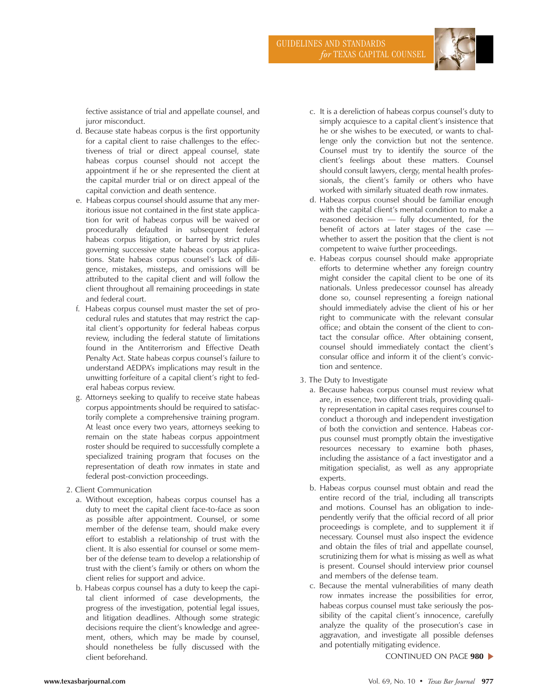



fective assistance of trial and appellate counsel, and juror misconduct.

- d. Because state habeas corpus is the first opportunity for a capital client to raise challenges to the effectiveness of trial or direct appeal counsel, state habeas corpus counsel should not accept the appointment if he or she represented the client at the capital murder trial or on direct appeal of the capital conviction and death sentence.
- e. Habeas corpus counsel should assume that any meritorious issue not contained in the first state application for writ of habeas corpus will be waived or procedurally defaulted in subsequent federal habeas corpus litigation, or barred by strict rules governing successive state habeas corpus applications. State habeas corpus counsel's lack of diligence, mistakes, missteps, and omissions will be attributed to the capital client and will follow the client throughout all remaining proceedings in state and federal court.
- f. Habeas corpus counsel must master the set of procedural rules and statutes that may restrict the capital client's opportunity for federal habeas corpus review, including the federal statute of limitations found in the Antiterrorism and Effective Death Penalty Act. State habeas corpus counsel's failure to understand AEDPA's implications may result in the unwitting forfeiture of a capital client's right to federal habeas corpus review.
- g. Attorneys seeking to qualify to receive state habeas corpus appointments should be required to satisfactorily complete a comprehensive training program. At least once every two years, attorneys seeking to remain on the state habeas corpus appointment roster should be required to successfully complete a specialized training program that focuses on the representation of death row inmates in state and federal post-conviction proceedings.
- 2. Client Communication
	- a. Without exception, habeas corpus counsel has a duty to meet the capital client face-to-face as soon as possible after appointment. Counsel, or some member of the defense team, should make every effort to establish a relationship of trust with the client. It is also essential for counsel or some member of the defense team to develop a relationship of trust with the client's family or others on whom the client relies for support and advice.
	- b. Habeas corpus counsel has a duty to keep the capital client informed of case developments, the progress of the investigation, potential legal issues, and litigation deadlines. Although some strategic decisions require the client's knowledge and agreement, others, which may be made by counsel, should nonetheless be fully discussed with the client beforehand.
- c. It is a dereliction of habeas corpus counsel's duty to simply acquiesce to a capital client's insistence that he or she wishes to be executed, or wants to challenge only the conviction but not the sentence. Counsel must try to identify the source of the client's feelings about these matters. Counsel should consult lawyers, clergy, mental health professionals, the client's family or others who have worked with similarly situated death row inmates.
- d. Habeas corpus counsel should be familiar enough with the capital client's mental condition to make a reasoned decision — fully documented, for the benefit of actors at later stages of the case whether to assert the position that the client is not competent to waive further proceedings.
- e. Habeas corpus counsel should make appropriate efforts to determine whether any foreign country might consider the capital client to be one of its nationals. Unless predecessor counsel has already done so, counsel representing a foreign national should immediately advise the client of his or her right to communicate with the relevant consular office; and obtain the consent of the client to contact the consular office. After obtaining consent, counsel should immediately contact the client's consular office and inform it of the client's conviction and sentence.
- 3. The Duty to Investigate
	- a. Because habeas corpus counsel must review what are, in essence, two different trials, providing quality representation in capital cases requires counsel to conduct a thorough and independent investigation of both the conviction and sentence. Habeas corpus counsel must promptly obtain the investigative resources necessary to examine both phases, including the assistance of a fact investigator and a mitigation specialist, as well as any appropriate experts.
	- b. Habeas corpus counsel must obtain and read the entire record of the trial, including all transcripts and motions. Counsel has an obligation to independently verify that the official record of all prior proceedings is complete, and to supplement it if necessary. Counsel must also inspect the evidence and obtain the files of trial and appellate counsel, scrutinizing them for what is missing as well as what is present. Counsel should interview prior counsel and members of the defense team.
	- c. Because the mental vulnerabilities of many death row inmates increase the possibilities for error, habeas corpus counsel must take seriously the possibility of the capital client's innocence, carefully analyze the quality of the prosecution's case in aggravation, and investigate all possible defenses and potentially mitigating evidence.

CONTINUED ON PAGE 980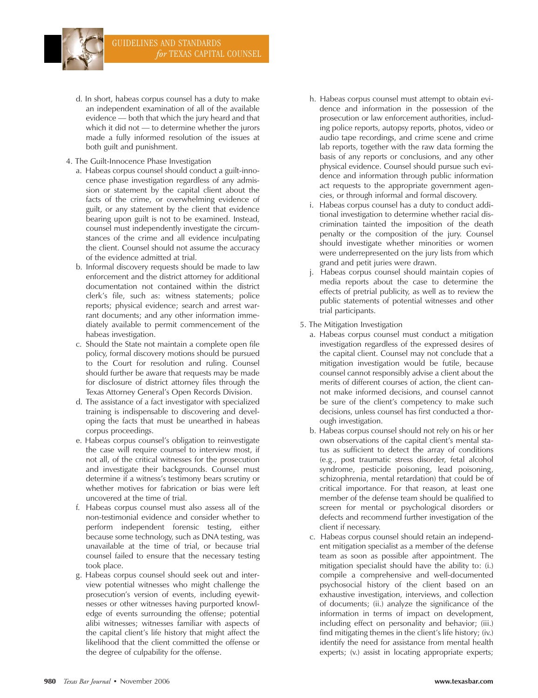- d. In short, habeas corpus counsel has a duty to make an independent examination of all of the available evidence — both that which the jury heard and that which it did not — to determine whether the jurors made a fully informed resolution of the issues at both guilt and punishment.
- 4. The Guilt-Innocence Phase Investigation
	- a. Habeas corpus counsel should conduct a guilt-innocence phase investigation regardless of any admission or statement by the capital client about the facts of the crime, or overwhelming evidence of guilt, or any statement by the client that evidence bearing upon guilt is not to be examined. Instead, counsel must independently investigate the circumstances of the crime and all evidence inculpating the client. Counsel should not assume the accuracy of the evidence admitted at trial.
	- b. Informal discovery requests should be made to law enforcement and the district attorney for additional documentation not contained within the district clerk's file, such as: witness statements; police reports; physical evidence; search and arrest warrant documents; and any other information immediately available to permit commencement of the habeas investigation.
	- c. Should the State not maintain a complete open file policy, formal discovery motions should be pursued to the Court for resolution and ruling. Counsel should further be aware that requests may be made for disclosure of district attorney files through the Texas Attorney General's Open Records Division.
	- d. The assistance of a fact investigator with specialized training is indispensable to discovering and developing the facts that must be unearthed in habeas corpus proceedings.
	- e. Habeas corpus counsel's obligation to reinvestigate the case will require counsel to interview most, if not all, of the critical witnesses for the prosecution and investigate their backgrounds. Counsel must determine if a witness's testimony bears scrutiny or whether motives for fabrication or bias were left uncovered at the time of trial.
	- f. Habeas corpus counsel must also assess all of the non-testimonial evidence and consider whether to perform independent forensic testing, either because some technology, such as DNA testing, was unavailable at the time of trial, or because trial counsel failed to ensure that the necessary testing took place.
	- g. Habeas corpus counsel should seek out and interview potential witnesses who might challenge the prosecution's version of events, including eyewitnesses or other witnesses having purported knowledge of events surrounding the offense; potential alibi witnesses; witnesses familiar with aspects of the capital client's life history that might affect the likelihood that the client committed the offense or the degree of culpability for the offense.
- h. Habeas corpus counsel must attempt to obtain evidence and information in the possession of the prosecution or law enforcement authorities, including police reports, autopsy reports, photos, video or audio tape recordings, and crime scene and crime lab reports, together with the raw data forming the basis of any reports or conclusions, and any other physical evidence. Counsel should pursue such evidence and information through public information act requests to the appropriate government agencies, or through informal and formal discovery.
- Habeas corpus counsel has a duty to conduct additional investigation to determine whether racial discrimination tainted the imposition of the death penalty or the composition of the jury. Counsel should investigate whether minorities or women were underrepresented on the jury lists from which grand and petit juries were drawn.
- j. Habeas corpus counsel should maintain copies of media reports about the case to determine the effects of pretrial publicity, as well as to review the public statements of potential witnesses and other trial participants.
- 5. The Mitigation Investigation
	- a. Habeas corpus counsel must conduct a mitigation investigation regardless of the expressed desires of the capital client. Counsel may not conclude that a mitigation investigation would be futile, because counsel cannot responsibly advise a client about the merits of different courses of action, the client cannot make informed decisions, and counsel cannot be sure of the client's competency to make such decisions, unless counsel has first conducted a thorough investigation.
	- b. Habeas corpus counsel should not rely on his or her own observations of the capital client's mental status as sufficient to detect the array of conditions (e.g., post traumatic stress disorder, fetal alcohol syndrome, pesticide poisoning, lead poisoning, schizophrenia, mental retardation) that could be of critical importance. For that reason, at least one member of the defense team should be qualified to screen for mental or psychological disorders or defects and recommend further investigation of the client if necessary.
	- c. Habeas corpus counsel should retain an independent mitigation specialist as a member of the defense team as soon as possible after appointment. The mitigation specialist should have the ability to: (i.) compile a comprehensive and well-documented psychosocial history of the client based on an exhaustive investigation, interviews, and collection of documents; (ii.) analyze the significance of the information in terms of impact on development, including effect on personality and behavior; (iii.) find mitigating themes in the client's life history; (iv.) identify the need for assistance from mental health experts; (v.) assist in locating appropriate experts;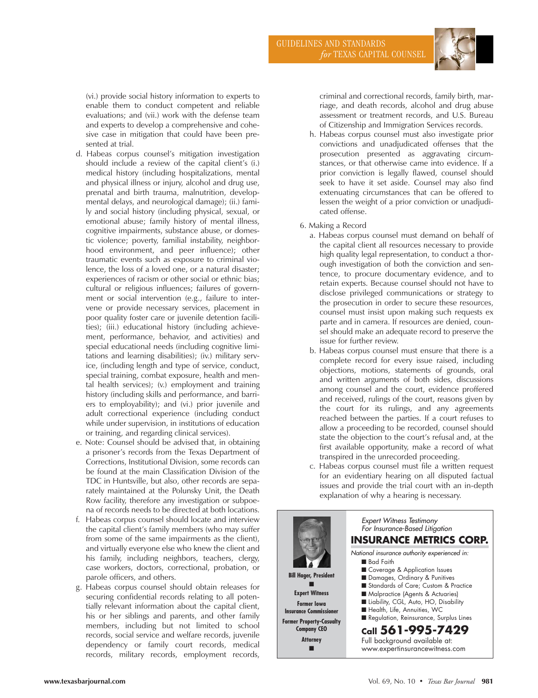



(vi.) provide social history information to experts to enable them to conduct competent and reliable evaluations; and (vii.) work with the defense team and experts to develop a comprehensive and cohesive case in mitigation that could have been presented at trial.

- d. Habeas corpus counsel's mitigation investigation should include a review of the capital client's (i.) medical history (including hospitalizations, mental and physical illness or injury, alcohol and drug use, prenatal and birth trauma, malnutrition, developmental delays, and neurological damage); (ii.) family and social history (including physical, sexual, or emotional abuse; family history of mental illness, cognitive impairments, substance abuse, or domestic violence; poverty, familial instability, neighborhood environment, and peer influence); other traumatic events such as exposure to criminal violence, the loss of a loved one, or a natural disaster; experiences of racism or other social or ethnic bias; cultural or religious influences; failures of government or social intervention (e.g., failure to intervene or provide necessary services, placement in poor quality foster care or juvenile detention facilities); (iii.) educational history (including achievement, performance, behavior, and activities) and special educational needs (including cognitive limitations and learning disabilities); (iv.) military service, (including length and type of service, conduct, special training, combat exposure, health and mental health services); (v.) employment and training history (including skills and performance, and barriers to employability); and (vi.) prior juvenile and adult correctional experience (including conduct while under supervision, in institutions of education or training, and regarding clinical services).
- e. Note: Counsel should be advised that, in obtaining a prisoner's records from the Texas Department of Corrections, Institutional Division, some records can be found at the main Classification Division of the TDC in Huntsville, but also, other records are separately maintained at the Polunsky Unit, the Death Row facility, therefore any investigation or subpoena of records needs to be directed at both locations.
- f. Habeas corpus counsel should locate and interview the capital client's family members (who may suffer from some of the same impairments as the client), and virtually everyone else who knew the client and his family, including neighbors, teachers, clergy, case workers, doctors, correctional, probation, or parole officers, and others.
- g. Habeas corpus counsel should obtain releases for securing confidential records relating to all potentially relevant information about the capital client, his or her siblings and parents, and other family members, including but not limited to school records, social service and welfare records, juvenile dependency or family court records, medical records, military records, employment records,

criminal and correctional records, family birth, marriage, and death records, alcohol and drug abuse assessment or treatment records, and U.S. Bureau of Citizenship and Immigration Services records.

- h. Habeas corpus counsel must also investigate prior convictions and unadjudicated offenses that the prosecution presented as aggravating circumstances, or that otherwise came into evidence. If a prior conviction is legally flawed, counsel should seek to have it set aside. Counsel may also find extenuating circumstances that can be offered to lessen the weight of a prior conviction or unadjudicated offense.
- 6. Making a Record
	- a. Habeas corpus counsel must demand on behalf of the capital client all resources necessary to provide high quality legal representation, to conduct a thorough investigation of both the conviction and sentence, to procure documentary evidence, and to retain experts. Because counsel should not have to disclose privileged communications or strategy to the prosecution in order to secure these resources, counsel must insist upon making such requests ex parte and in camera. If resources are denied, counsel should make an adequate record to preserve the issue for further review.
	- b. Habeas corpus counsel must ensure that there is a complete record for every issue raised, including objections, motions, statements of grounds, oral and written arguments of both sides, discussions among counsel and the court, evidence proffered and received, rulings of the court, reasons given by the court for its rulings, and any agreements reached between the parties. If a court refuses to allow a proceeding to be recorded, counsel should state the objection to the court's refusal and, at the first available opportunity, make a record of what transpired in the unrecorded proceeding.
	- c. Habeas corpus counsel must file a written request for an evidentiary hearing on all disputed factual issues and provide the trial court with an in-depth explanation of why a hearing is necessary.

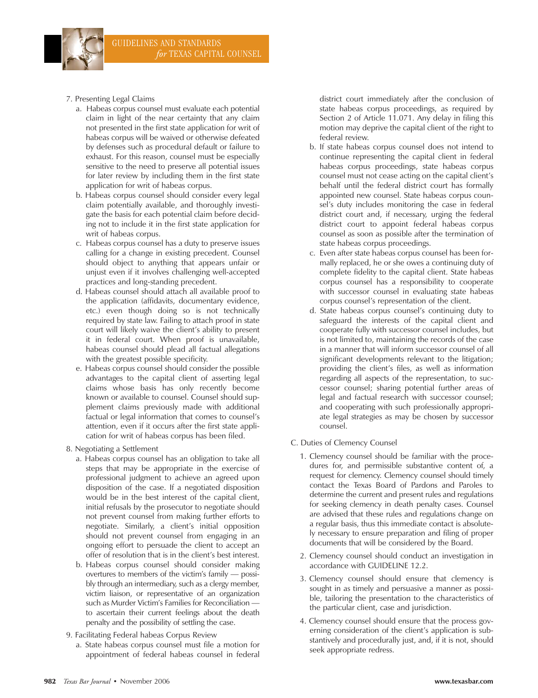

- 7. Presenting Legal Claims
	- a. Habeas corpus counsel must evaluate each potential claim in light of the near certainty that any claim not presented in the first state application for writ of habeas corpus will be waived or otherwise defeated by defenses such as procedural default or failure to exhaust. For this reason, counsel must be especially sensitive to the need to preserve all potential issues for later review by including them in the first state application for writ of habeas corpus.
	- b. Habeas corpus counsel should consider every legal claim potentially available, and thoroughly investigate the basis for each potential claim before deciding not to include it in the first state application for writ of habeas corpus.
	- c. Habeas corpus counsel has a duty to preserve issues calling for a change in existing precedent. Counsel should object to anything that appears unfair or unjust even if it involves challenging well-accepted practices and long-standing precedent.
	- d. Habeas counsel should attach all available proof to the application (affidavits, documentary evidence, etc.) even though doing so is not technically required by state law. Failing to attach proof in state court will likely waive the client's ability to present it in federal court. When proof is unavailable, habeas counsel should plead all factual allegations with the greatest possible specificity.
	- e. Habeas corpus counsel should consider the possible advantages to the capital client of asserting legal claims whose basis has only recently become known or available to counsel. Counsel should supplement claims previously made with additional factual or legal information that comes to counsel's attention, even if it occurs after the first state application for writ of habeas corpus has been filed.
- 8. Negotiating a Settlement
	- a. Habeas corpus counsel has an obligation to take all steps that may be appropriate in the exercise of professional judgment to achieve an agreed upon disposition of the case. If a negotiated disposition would be in the best interest of the capital client, initial refusals by the prosecutor to negotiate should not prevent counsel from making further efforts to negotiate. Similarly, a client's initial opposition should not prevent counsel from engaging in an ongoing effort to persuade the client to accept an offer of resolution that is in the client's best interest.
	- b. Habeas corpus counsel should consider making overtures to members of the victim's family — possibly through an intermediary, such as a clergy member, victim liaison, or representative of an organization such as Murder Victim's Families for Reconciliation to ascertain their current feelings about the death penalty and the possibility of settling the case.
- 9. Facilitating Federal habeas Corpus Review
	- a. State habeas corpus counsel must file a motion for appointment of federal habeas counsel in federal

district court immediately after the conclusion of state habeas corpus proceedings, as required by Section 2 of Article 11.071. Any delay in filing this motion may deprive the capital client of the right to federal review.

- b. If state habeas corpus counsel does not intend to continue representing the capital client in federal habeas corpus proceedings, state habeas corpus counsel must not cease acting on the capital client's behalf until the federal district court has formally appointed new counsel. State habeas corpus counsel's duty includes monitoring the case in federal district court and, if necessary, urging the federal district court to appoint federal habeas corpus counsel as soon as possible after the termination of state habeas corpus proceedings.
- c. Even after state habeas corpus counsel has been formally replaced, he or she owes a continuing duty of complete fidelity to the capital client. State habeas corpus counsel has a responsibility to cooperate with successor counsel in evaluating state habeas corpus counsel's representation of the client.
- d. State habeas corpus counsel's continuing duty to safeguard the interests of the capital client and cooperate fully with successor counsel includes, but is not limited to, maintaining the records of the case in a manner that will inform successor counsel of all significant developments relevant to the litigation; providing the client's files, as well as information regarding all aspects of the representation, to successor counsel; sharing potential further areas of legal and factual research with successor counsel; and cooperating with such professionally appropriate legal strategies as may be chosen by successor counsel.
- C. Duties of Clemency Counsel
	- 1. Clemency counsel should be familiar with the procedures for, and permissible substantive content of, a request for clemency. Clemency counsel should timely contact the Texas Board of Pardons and Paroles to determine the current and present rules and regulations for seeking clemency in death penalty cases. Counsel are advised that these rules and regulations change on a regular basis, thus this immediate contact is absolutely necessary to ensure preparation and filing of proper documents that will be considered by the Board.
	- 2. Clemency counsel should conduct an investigation in accordance with GUIDELINE 12.2.
	- 3. Clemency counsel should ensure that clemency is sought in as timely and persuasive a manner as possible, tailoring the presentation to the characteristics of the particular client, case and jurisdiction.
	- 4. Clemency counsel should ensure that the process governing consideration of the client's application is substantively and procedurally just, and, if it is not, should seek appropriate redress.